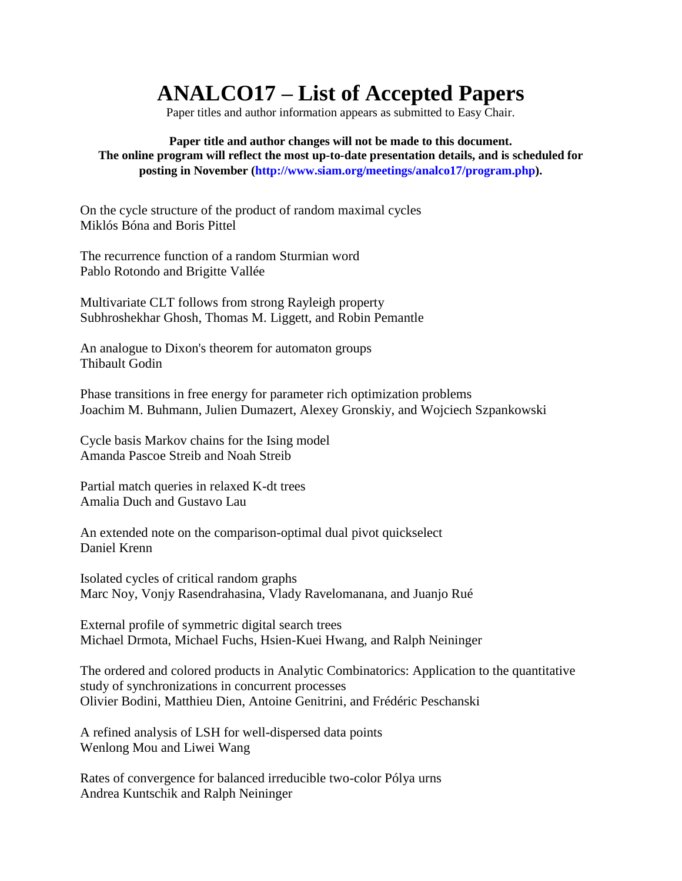## **ANALCO17 – List of Accepted Papers**

Paper titles and author information appears as submitted to Easy Chair.

**Paper title and author changes will not be made to this document. The online program will reflect the most up-to-date presentation details, and is scheduled for posting in November (http://www.siam.org/meetings/analco17/program.php).**

On the cycle structure of the product of random maximal cycles Miklós Bóna and Boris Pittel

The recurrence function of a random Sturmian word Pablo Rotondo and Brigitte Vallée

Multivariate CLT follows from strong Rayleigh property Subhroshekhar Ghosh, Thomas M. Liggett, and Robin Pemantle

An analogue to Dixon's theorem for automaton groups Thibault Godin

Phase transitions in free energy for parameter rich optimization problems Joachim M. Buhmann, Julien Dumazert, Alexey Gronskiy, and Wojciech Szpankowski

Cycle basis Markov chains for the Ising model Amanda Pascoe Streib and Noah Streib

Partial match queries in relaxed K-dt trees Amalia Duch and Gustavo Lau

An extended note on the comparison-optimal dual pivot quickselect Daniel Krenn

Isolated cycles of critical random graphs Marc Noy, Vonjy Rasendrahasina, Vlady Ravelomanana, and Juanjo Rué

External profile of symmetric digital search trees Michael Drmota, Michael Fuchs, Hsien-Kuei Hwang, and Ralph Neininger

The ordered and colored products in Analytic Combinatorics: Application to the quantitative study of synchronizations in concurrent processes Olivier Bodini, Matthieu Dien, Antoine Genitrini, and Frédéric Peschanski

A refined analysis of LSH for well-dispersed data points Wenlong Mou and Liwei Wang

Rates of convergence for balanced irreducible two-color Pólya urns Andrea Kuntschik and Ralph Neininger